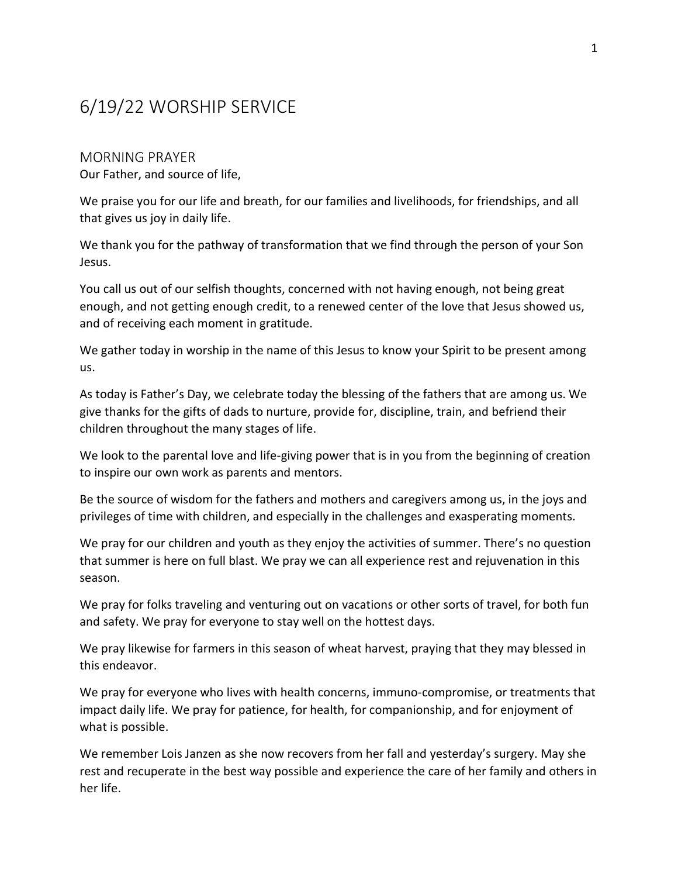# 6/19/22 WORSHIP SERVICE

MORNING PRAYER Our Father, and source of life,

We praise you for our life and breath, for our families and livelihoods, for friendships, and all that gives us joy in daily life.

We thank you for the pathway of transformation that we find through the person of your Son Jesus.

You call us out of our selfish thoughts, concerned with not having enough, not being great enough, and not getting enough credit, to a renewed center of the love that Jesus showed us, and of receiving each moment in gratitude.

We gather today in worship in the name of this Jesus to know your Spirit to be present among us.

As today is Father's Day, we celebrate today the blessing of the fathers that are among us. We give thanks for the gifts of dads to nurture, provide for, discipline, train, and befriend their children throughout the many stages of life.

We look to the parental love and life-giving power that is in you from the beginning of creation to inspire our own work as parents and mentors.

Be the source of wisdom for the fathers and mothers and caregivers among us, in the joys and privileges of time with children, and especially in the challenges and exasperating moments.

We pray for our children and youth as they enjoy the activities of summer. There's no question that summer is here on full blast. We pray we can all experience rest and rejuvenation in this season.

We pray for folks traveling and venturing out on vacations or other sorts of travel, for both fun and safety. We pray for everyone to stay well on the hottest days.

We pray likewise for farmers in this season of wheat harvest, praying that they may blessed in this endeavor.

We pray for everyone who lives with health concerns, immuno-compromise, or treatments that impact daily life. We pray for patience, for health, for companionship, and for enjoyment of what is possible.

We remember Lois Janzen as she now recovers from her fall and yesterday's surgery. May she rest and recuperate in the best way possible and experience the care of her family and others in her life.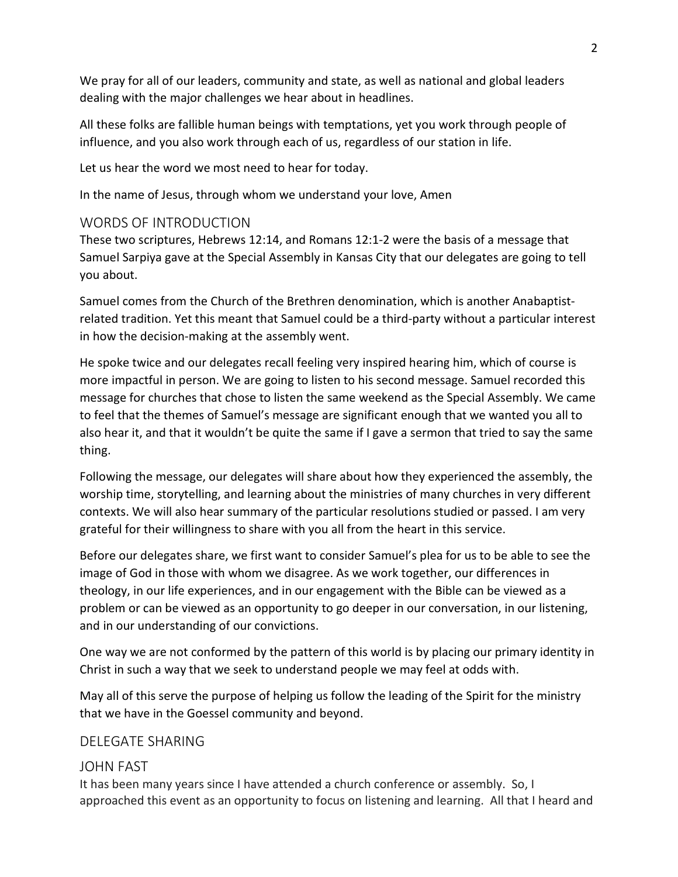We pray for all of our leaders, community and state, as well as national and global leaders dealing with the major challenges we hear about in headlines.

All these folks are fallible human beings with temptations, yet you work through people of influence, and you also work through each of us, regardless of our station in life.

Let us hear the word we most need to hear for today.

In the name of Jesus, through whom we understand your love, Amen

## WORDS OF INTRODUCTION

These two scriptures, Hebrews 12:14, and Romans 12:1-2 were the basis of a message that Samuel Sarpiya gave at the Special Assembly in Kansas City that our delegates are going to tell you about.

Samuel comes from the Church of the Brethren denomination, which is another Anabaptistrelated tradition. Yet this meant that Samuel could be a third-party without a particular interest in how the decision-making at the assembly went.

He spoke twice and our delegates recall feeling very inspired hearing him, which of course is more impactful in person. We are going to listen to his second message. Samuel recorded this message for churches that chose to listen the same weekend as the Special Assembly. We came to feel that the themes of Samuel's message are significant enough that we wanted you all to also hear it, and that it wouldn't be quite the same if I gave a sermon that tried to say the same thing.

Following the message, our delegates will share about how they experienced the assembly, the worship time, storytelling, and learning about the ministries of many churches in very different contexts. We will also hear summary of the particular resolutions studied or passed. I am very grateful for their willingness to share with you all from the heart in this service.

Before our delegates share, we first want to consider Samuel's plea for us to be able to see the image of God in those with whom we disagree. As we work together, our differences in theology, in our life experiences, and in our engagement with the Bible can be viewed as a problem or can be viewed as an opportunity to go deeper in our conversation, in our listening, and in our understanding of our convictions.

One way we are not conformed by the pattern of this world is by placing our primary identity in Christ in such a way that we seek to understand people we may feel at odds with.

May all of this serve the purpose of helping us follow the leading of the Spirit for the ministry that we have in the Goessel community and beyond.

### DELEGATE SHARING

### JOHN FAST

It has been many years since I have attended a church conference or assembly. So, I approached this event as an opportunity to focus on listening and learning. All that I heard and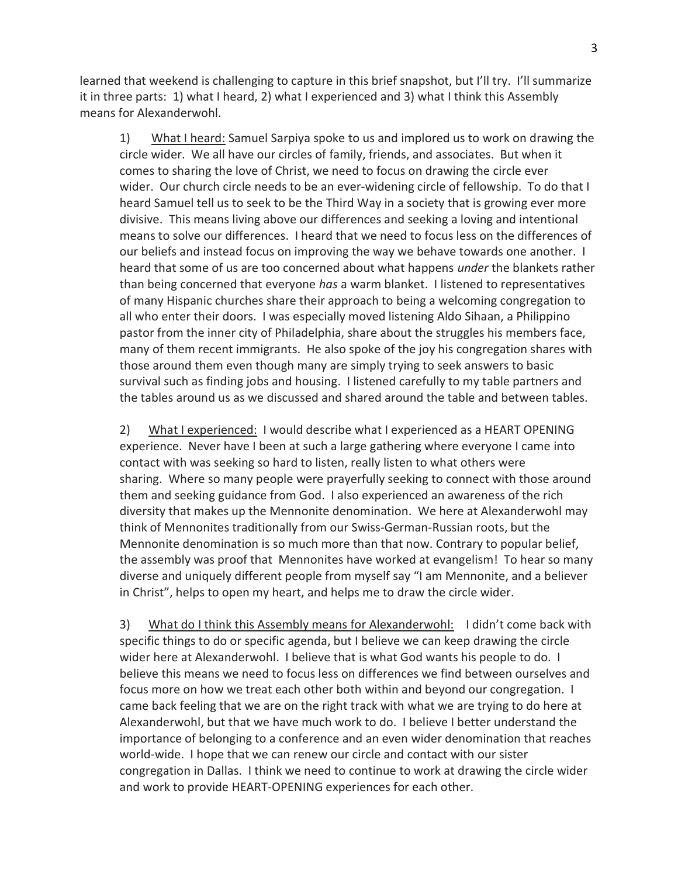learned that weekend is challenging to capture in this brief snapshot, but I'll try. I'll summarize it in three parts: 1) what I heard, 2) what I experienced and 3) what I think this Assembly means for Alexanderwohl.

1) What I heard: Samuel Sarpiya spoke to us and implored us to work on drawing the circle wider. We all have our circles of family, friends, and associates. But when it comes to sharing the love of Christ, we need to focus on drawing the circle ever wider. Our church circle needs to be an ever-widening circle of fellowship. To do that I heard Samuel tell us to seek to be the Third Way in a society that is growing ever more divisive. This means living above our differences and seeking a loving and intentional means to solve our differences. I heard that we need to focus less on the differences of our beliefs and instead focus on improving the way we behave towards one another. I heard that some of us are too concerned about what happens *under* the blankets rather than being concerned that everyone has a warm blanket. I listened to representatives of many Hispanic churches share their approach to being a welcoming congregation to all who enter their doors. I was especially moved listening Aldo Sihaan, a Philippino pastor from the inner city of Philadelphia, share about the struggles his members face, many of them recent immigrants. He also spoke of the joy his congregation shares with those around them even though many are simply trying to seek answers to basic survival such as finding jobs and housing. I listened carefully to my table partners and the tables around us as we discussed and shared around the table and between tables.

2) What I experienced: I would describe what I experienced as a HEART OPENING experience. Never have I been at such a large gathering where everyone I came into contact with was seeking so hard to listen, really listen to what others were sharing. Where so many people were prayerfully seeking to connect with those around them and seeking guidance from God. I also experienced an awareness of the rich diversity that makes up the Mennonite denomination. We here at Alexanderwohl may think of Mennonites traditionally from our Swiss-German-Russian roots, but the Mennonite denomination is so much more than that now. Contrary to popular belief, the assembly was proof that Mennonites have worked at evangelism! To hear so many diverse and uniquely different people from myself say "I am Mennonite, and a believer in Christ", helps to open my heart, and helps me to draw the circle wider.

3) What do I think this Assembly means for Alexanderwohl: I didn't come back with specific things to do or specific agenda, but I believe we can keep drawing the circle wider here at Alexanderwohl. I believe that is what God wants his people to do. I believe this means we need to focus less on differences we find between ourselves and focus more on how we treat each other both within and beyond our congregation. I came back feeling that we are on the right track with what we are trying to do here at Alexanderwohl, but that we have much work to do. I believe I better understand the importance of belonging to a conference and an even wider denomination that reaches world-wide. I hope that we can renew our circle and contact with our sister congregation in Dallas. I think we need to continue to work at drawing the circle wider and work to provide HEART-OPENING experiences for each other.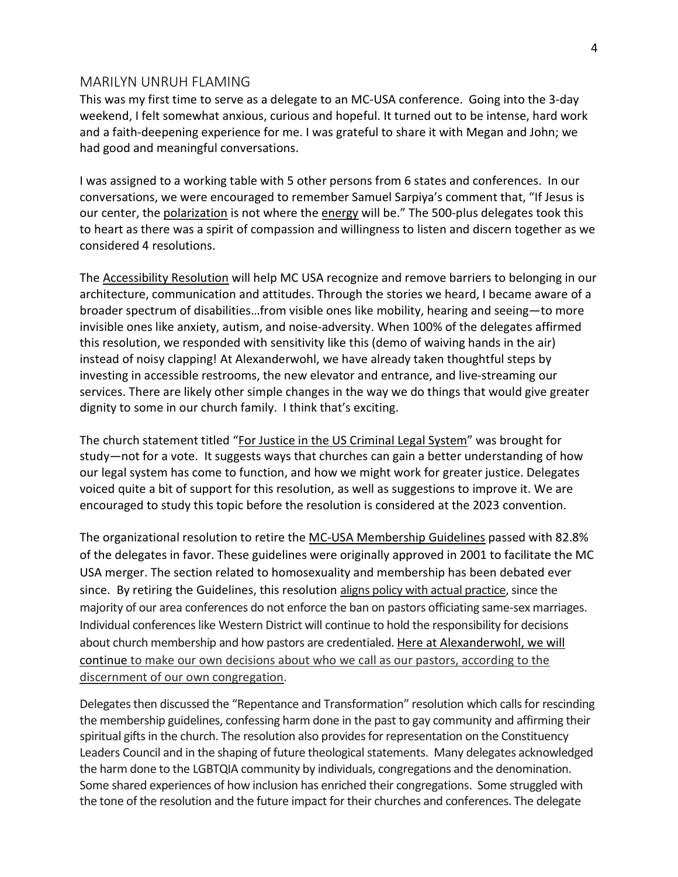#### MARILYN UNRUH FLAMING

This was my first time to serve as a delegate to an MC-USA conference. Going into the 3-day weekend, I felt somewhat anxious, curious and hopeful. It turned out to be intense, hard work and a faith-deepening experience for me. I was grateful to share it with Megan and John; we had good and meaningful conversations.

I was assigned to a working table with 5 other persons from 6 states and conferences. In our conversations, we were encouraged to remember Samuel Sarpiya's comment that, "If Jesus is our center, the polarization is not where the energy will be." The 500-plus delegates took this to heart as there was a spirit of compassion and willingness to listen and discern together as we considered 4 resolutions.

The Accessibility Resolution will help MC USA recognize and remove barriers to belonging in our architecture, communication and attitudes. Through the stories we heard, I became aware of a broader spectrum of disabilities…from visible ones like mobility, hearing and seeing—to more invisible ones like anxiety, autism, and noise-adversity. When 100% of the delegates affirmed this resolution, we responded with sensitivity like this (demo of waiving hands in the air) instead of noisy clapping! At Alexanderwohl, we have already taken thoughtful steps by investing in accessible restrooms, the new elevator and entrance, and live-streaming our services. There are likely other simple changes in the way we do things that would give greater dignity to some in our church family. I think that's exciting.

The church statement titled "For Justice in the US Criminal Legal System" was brought for study—not for a vote. It suggests ways that churches can gain a better understanding of how our legal system has come to function, and how we might work for greater justice. Delegates voiced quite a bit of support for this resolution, as well as suggestions to improve it. We are encouraged to study this topic before the resolution is considered at the 2023 convention.

The organizational resolution to retire the MC-USA Membership Guidelines passed with 82.8% of the delegates in favor. These guidelines were originally approved in 2001 to facilitate the MC USA merger. The section related to homosexuality and membership has been debated ever since. By retiring the Guidelines, this resolution aligns policy with actual practice, since the majority of our area conferences do not enforce the ban on pastors officiating same-sex marriages. Individual conferences like Western District will continue to hold the responsibility for decisions about church membership and how pastors are credentialed. Here at Alexanderwohl, we will continue to make our own decisions about who we call as our pastors, according to the discernment of our own congregation.

Delegates then discussed the "Repentance and Transformation" resolution which calls for rescinding the membership guidelines, confessing harm done in the past to gay community and affirming their spiritual gifts in the church. The resolution also provides for representation on the Constituency Leaders Council and in the shaping of future theological statements. Many delegates acknowledged the harm done to the LGBTQIA community by individuals, congregations and the denomination. Some shared experiences of how inclusion has enriched their congregations. Some struggled with the tone of the resolution and the future impact for their churches and conferences. The delegate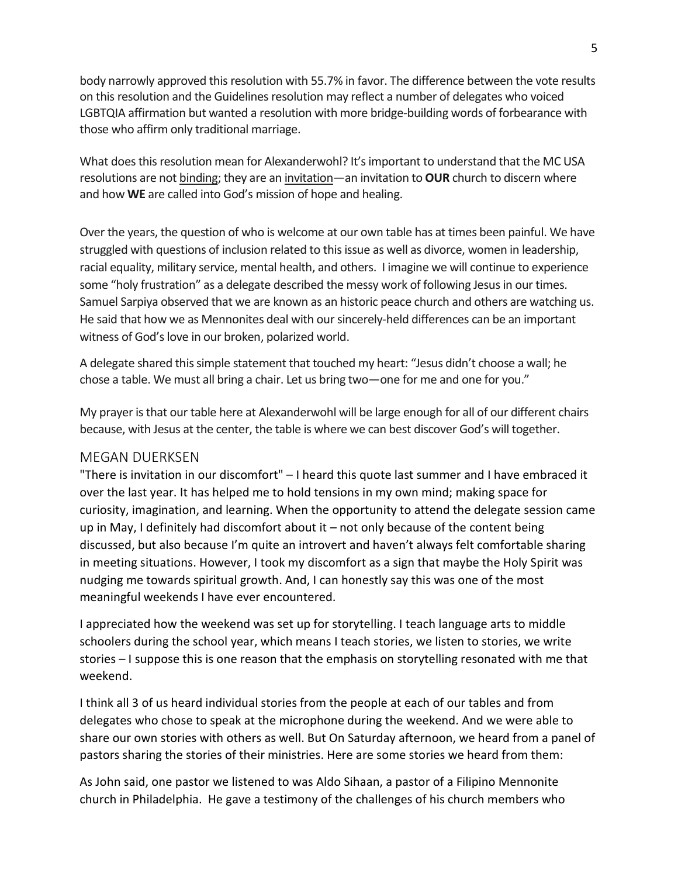body narrowly approved this resolution with 55.7% in favor. The difference between the vote results on this resolution and the Guidelines resolution may reflect a number of delegates who voiced LGBTQIA affirmation but wanted a resolution with more bridge-building words of forbearance with those who affirm only traditional marriage.

What does this resolution mean for Alexanderwohl? It's important to understand that the MC USA resolutions are not binding; they are an invitation—an invitation to **OUR** church to discern where and how WE are called into God's mission of hope and healing.

Over the years, the question of who is welcome at our own table has at times been painful. We have struggled with questions of inclusion related to this issue as well as divorce, women in leadership, racial equality, military service, mental health, and others. I imagine we will continue to experience some "holy frustration" as a delegate described the messy work of following Jesus in our times. Samuel Sarpiya observed that we are known as an historic peace church and others are watching us. He said that how we as Mennonites deal with our sincerely-held differences can be an important witness of God's love in our broken, polarized world.

A delegate shared this simple statement that touched my heart: "Jesus didn't choose a wall; he chose a table. We must all bring a chair. Let us bring two—one for me and one for you."

My prayer is that our table here at Alexanderwohl will be large enough for all of our different chairs because, with Jesus at the center, the table is where we can best discover God's will together.

#### MEGAN DUERKSEN

"There is invitation in our discomfort" – I heard this quote last summer and I have embraced it over the last year. It has helped me to hold tensions in my own mind; making space for curiosity, imagination, and learning. When the opportunity to attend the delegate session came up in May, I definitely had discomfort about it – not only because of the content being discussed, but also because I'm quite an introvert and haven't always felt comfortable sharing in meeting situations. However, I took my discomfort as a sign that maybe the Holy Spirit was nudging me towards spiritual growth. And, I can honestly say this was one of the most meaningful weekends I have ever encountered.

I appreciated how the weekend was set up for storytelling. I teach language arts to middle schoolers during the school year, which means I teach stories, we listen to stories, we write stories – I suppose this is one reason that the emphasis on storytelling resonated with me that weekend.

I think all 3 of us heard individual stories from the people at each of our tables and from delegates who chose to speak at the microphone during the weekend. And we were able to share our own stories with others as well. But On Saturday afternoon, we heard from a panel of pastors sharing the stories of their ministries. Here are some stories we heard from them:

As John said, one pastor we listened to was Aldo Sihaan, a pastor of a Filipino Mennonite church in Philadelphia. He gave a testimony of the challenges of his church members who